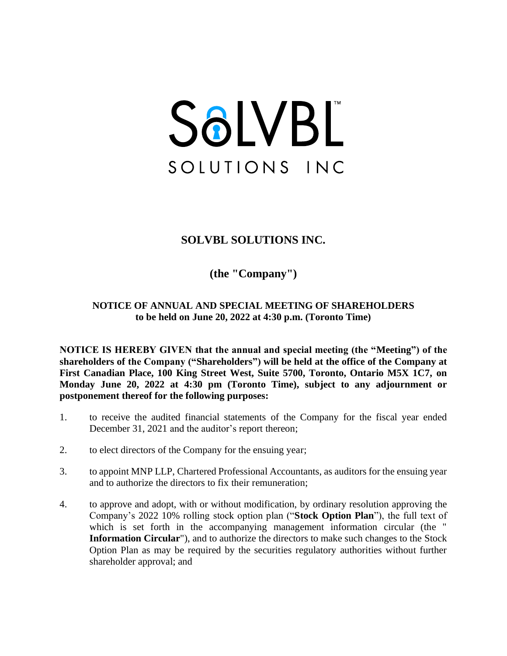# SOLVBL SOLUTIONS INC

## **SOLVBL SOLUTIONS INC.**

**(the "Company")**

### **NOTICE OF ANNUAL AND SPECIAL MEETING OF SHAREHOLDERS to be held on June 20, 2022 at 4:30 p.m. (Toronto Time)**

**NOTICE IS HEREBY GIVEN that the annual and special meeting (the "Meeting") of the shareholders of the Company ("Shareholders") will be held at the office of the Company at First Canadian Place, 100 King Street West, Suite 5700, Toronto, Ontario M5X 1C7, on Monday June 20, 2022 at 4:30 pm (Toronto Time), subject to any adjournment or postponement thereof for the following purposes:**

- 1. to receive the audited financial statements of the Company for the fiscal year ended December 31, 2021 and the auditor's report thereon;
- 2. to elect directors of the Company for the ensuing year;
- 3. to appoint MNP LLP, Chartered Professional Accountants, as auditors for the ensuing year and to authorize the directors to fix their remuneration;
- 4. to approve and adopt, with or without modification, by ordinary resolution approving the Company's 2022 10% rolling stock option plan ("**Stock Option Plan**"), the full text of which is set forth in the accompanying management information circular (the " **Information Circular**"), and to authorize the directors to make such changes to the Stock Option Plan as may be required by the securities regulatory authorities without further shareholder approval; and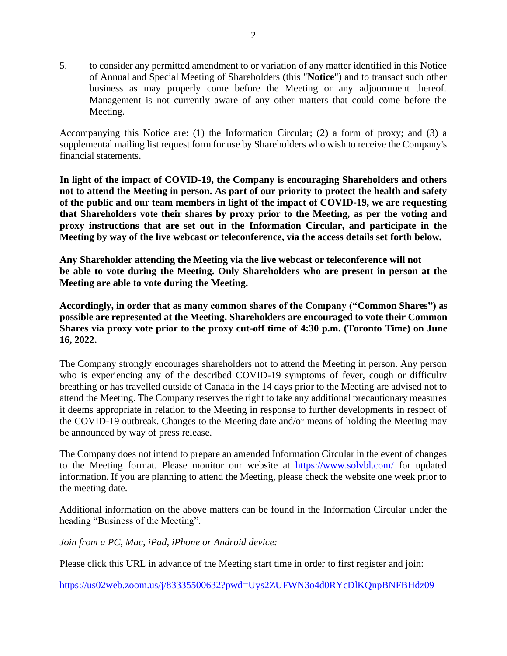5. to consider any permitted amendment to or variation of any matter identified in this Notice of Annual and Special Meeting of Shareholders (this "**Notice**") and to transact such other business as may properly come before the Meeting or any adjournment thereof. Management is not currently aware of any other matters that could come before the Meeting.

Accompanying this Notice are: (1) the Information Circular; (2) a form of proxy; and (3) a supplemental mailing list request form for use by Shareholders who wish to receive the Company's financial statements.

**In light of the impact of COVID-19, the Company is encouraging Shareholders and others not to attend the Meeting in person. As part of our priority to protect the health and safety of the public and our team members in light of the impact of COVID-19, we are requesting that Shareholders vote their shares by proxy prior to the Meeting, as per the voting and proxy instructions that are set out in the Information Circular, and participate in the Meeting by way of the live webcast or teleconference, via the access details set forth below.** 

**Any Shareholder attending the Meeting via the live webcast or teleconference will not be able to vote during the Meeting. Only Shareholders who are present in person at the Meeting are able to vote during the Meeting.** 

**Accordingly, in order that as many common shares of the Company ("Common Shares") as possible are represented at the Meeting, Shareholders are encouraged to vote their Common Shares via proxy vote prior to the proxy cut-off time of 4:30 p.m. (Toronto Time) on June 16, 2022.**

The Company strongly encourages shareholders not to attend the Meeting in person. Any person who is experiencing any of the described COVID-19 symptoms of fever, cough or difficulty breathing or has travelled outside of Canada in the 14 days prior to the Meeting are advised not to attend the Meeting. The Company reserves the right to take any additional precautionary measures it deems appropriate in relation to the Meeting in response to further developments in respect of the COVID-19 outbreak. Changes to the Meeting date and/or means of holding the Meeting may be announced by way of press release.

The Company does not intend to prepare an amended Information Circular in the event of changes to the Meeting format. Please monitor our website at <https://www.solvbl.com/> for updated information. If you are planning to attend the Meeting, please check the website one week prior to the meeting date.

Additional information on the above matters can be found in the Information Circular under the heading "Business of the Meeting".

*Join from a PC, Mac, iPad, iPhone or Android device:*

Please click this URL in advance of the Meeting start time in order to first register and join:

<https://us02web.zoom.us/j/83335500632?pwd=Uys2ZUFWN3o4d0RYcDlKQnpBNFBHdz09>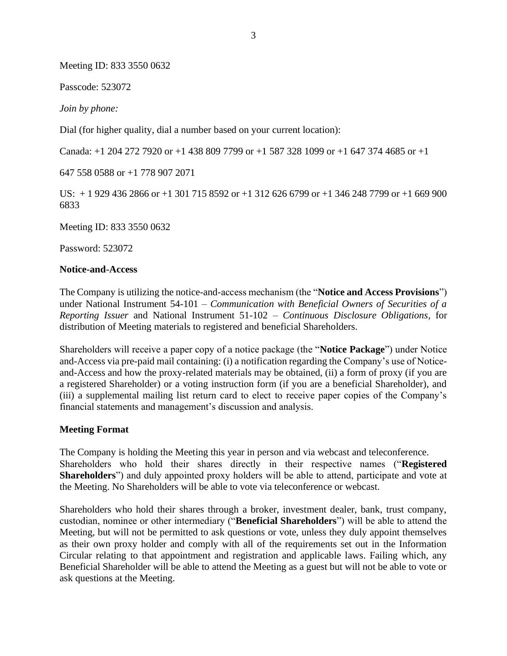Meeting ID: 833 3550 0632

Passcode: 523072

*Join by phone:*

Dial (for higher quality, dial a number based on your current location):

Canada: +1 204 272 7920 or +1 438 809 7799 or +1 587 328 1099 or +1 647 374 4685 or +1

647 558 0588 or +1 778 907 2071

US: + 1 929 436 2866 or +1 301 715 8592 or +1 312 626 6799 or +1 346 248 7799 or +1 669 900 6833

Meeting ID: 833 3550 0632

Password: 523072

#### **Notice-and-Access**

The Company is utilizing the notice-and-access mechanism (the "**Notice and Access Provisions**") under National Instrument 54-101 – *Communication with Beneficial Owners of Securities of a Reporting Issuer* and National Instrument 51-102 – *Continuous Disclosure Obligations*, for distribution of Meeting materials to registered and beneficial Shareholders.

Shareholders will receive a paper copy of a notice package (the "**Notice Package**") under Notice and-Access via pre-paid mail containing: (i) a notification regarding the Company's use of Noticeand-Access and how the proxy-related materials may be obtained, (ii) a form of proxy (if you are a registered Shareholder) or a voting instruction form (if you are a beneficial Shareholder), and (iii) a supplemental mailing list return card to elect to receive paper copies of the Company's financial statements and management's discussion and analysis.

#### **Meeting Format**

The Company is holding the Meeting this year in person and via webcast and teleconference. Shareholders who hold their shares directly in their respective names ("**Registered Shareholders**") and duly appointed proxy holders will be able to attend, participate and vote at the Meeting. No Shareholders will be able to vote via teleconference or webcast.

Shareholders who hold their shares through a broker, investment dealer, bank, trust company, custodian, nominee or other intermediary ("**Beneficial Shareholders**") will be able to attend the Meeting, but will not be permitted to ask questions or vote, unless they duly appoint themselves as their own proxy holder and comply with all of the requirements set out in the Information Circular relating to that appointment and registration and applicable laws. Failing which, any Beneficial Shareholder will be able to attend the Meeting as a guest but will not be able to vote or ask questions at the Meeting.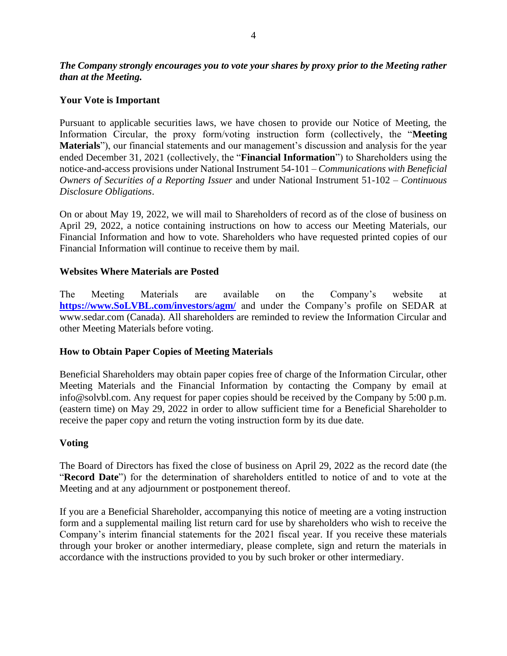#### *The Company strongly encourages you to vote your shares by proxy prior to the Meeting rather than at the Meeting.*

#### **Your Vote is Important**

Pursuant to applicable securities laws, we have chosen to provide our Notice of Meeting, the Information Circular, the proxy form/voting instruction form (collectively, the "**Meeting Materials**"), our financial statements and our management's discussion and analysis for the year ended December 31, 2021 (collectively, the "**Financial Information**") to Shareholders using the notice-and-access provisions under National Instrument 54-101 – *Communications with Beneficial Owners of Securities of a Reporting Issuer* and under National Instrument 51-102 – *Continuous Disclosure Obligations*.

On or about May 19, 2022, we will mail to Shareholders of record as of the close of business on April 29, 2022, a notice containing instructions on how to access our Meeting Materials, our Financial Information and how to vote. Shareholders who have requested printed copies of our Financial Information will continue to receive them by mail.

#### **Websites Where Materials are Posted**

The Meeting Materials are available on the Company's website at **[https://www.SoLVBL.com/investors/agm/](https://www.solvbl.com/investors/agm/)** and under the Company's profile on SEDAR at www.sedar.com (Canada). All shareholders are reminded to review the Information Circular and other Meeting Materials before voting.

#### **How to Obtain Paper Copies of Meeting Materials**

Beneficial Shareholders may obtain paper copies free of charge of the Information Circular, other Meeting Materials and the Financial Information by contacting the Company by email at info@solvbl.com. Any request for paper copies should be received by the Company by 5:00 p.m. (eastern time) on May 29, 2022 in order to allow sufficient time for a Beneficial Shareholder to receive the paper copy and return the voting instruction form by its due date.

#### **Voting**

The Board of Directors has fixed the close of business on April 29, 2022 as the record date (the "**Record Date**") for the determination of shareholders entitled to notice of and to vote at the Meeting and at any adjournment or postponement thereof.

If you are a Beneficial Shareholder, accompanying this notice of meeting are a voting instruction form and a supplemental mailing list return card for use by shareholders who wish to receive the Company's interim financial statements for the 2021 fiscal year. If you receive these materials through your broker or another intermediary, please complete, sign and return the materials in accordance with the instructions provided to you by such broker or other intermediary.